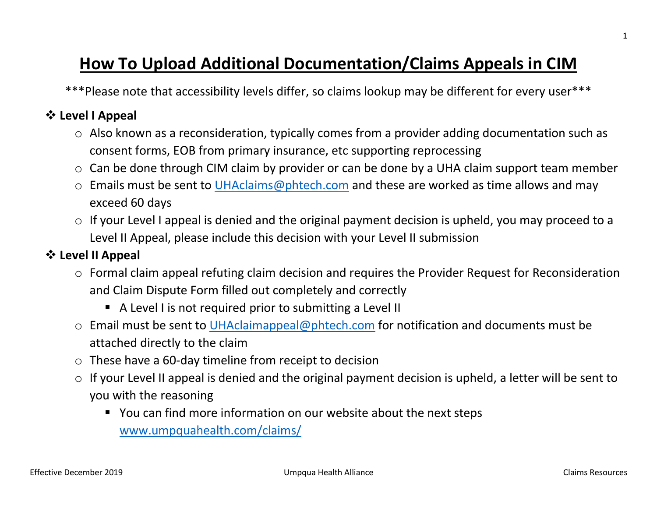# **How To Upload Additional Documentation/Claims Appeals in CIM**

\*\*\*Please note that accessibility levels differ, so claims lookup may be different for every user\*\*\*

## **Level I Appeal**

- o Also known as a reconsideration, typically comes from a provider adding documentation such as consent forms, EOB from primary insurance, etc supporting reprocessing
- o Can be done through CIM claim by provider or can be done by a UHA claim support team member
- o Emails must be sent to [UHAclaims@phtech.com](mailto:UHAclaims@phtech.com) and these are worked as time allows and may exceed 60 days
- o If your Level I appeal is denied and the original payment decision is upheld, you may proceed to a Level II Appeal, please include this decision with your Level II submission

# **Level II Appeal**

- o Formal claim appeal refuting claim decision and requires the Provider Request for Reconsideration and Claim Dispute Form filled out completely and correctly
	- A Level I is not required prior to submitting a Level II
- o Email must be sent to *UHAclaimappeal@phtech.com* for notification and documents must be attached directly to the claim
- o These have a 60-day timeline from receipt to decision
- $\circ$  If your Level II appeal is denied and the original payment decision is upheld, a letter will be sent to you with the reasoning
	- You can find more information on our website about the next steps [www.umpquahealth.com/claims/](http://www.umpquahealth.com/claims/)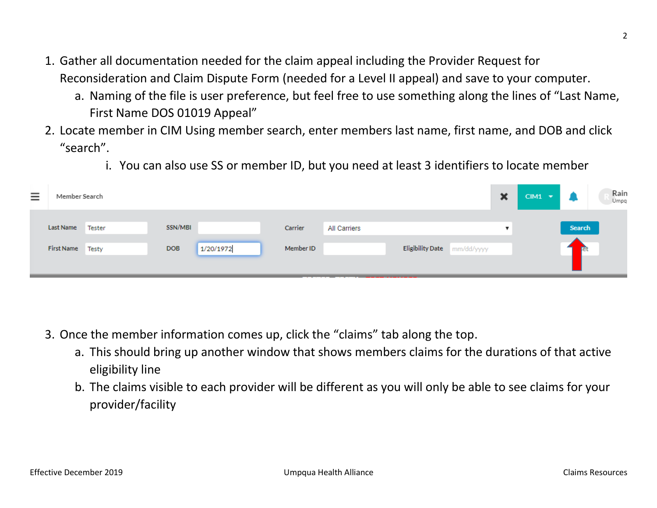- 1. Gather all documentation needed for the claim appeal including the Provider Request for Reconsideration and Claim Dispute Form (needed for a Level II appeal) and save to your computer.
	- a. Naming of the file is user preference, but feel free to use something along the lines of "Last Name, First Name DOS 01019 Appeal"
- 2. Locate member in CIM Using member search, enter members last name, first name, and DOB and click "search".
	- i. You can also use SS or member ID, but you need at least 3 identifiers to locate member

| $=$ | Member Search                 |        |                       |           |                      |                     |                             | × | $CIM1$ $\blacktriangleright$ |                             | Rain<br>Umpg |
|-----|-------------------------------|--------|-----------------------|-----------|----------------------|---------------------|-----------------------------|---|------------------------------|-----------------------------|--------------|
|     | Last Name<br>First Name Testy | Tester | SSN/MBI<br><b>DOB</b> | 1/20/1972 | Carrier<br>Member ID | <b>All Carriers</b> | Eligibility Date mm/dd/yyyy |   |                              | <b>Search</b><br><b>Tet</b> |              |
|     |                               |        |                       |           |                      |                     |                             |   |                              |                             |              |

- 3. Once the member information comes up, click the "claims" tab along the top.
	- a. This should bring up another window that shows members claims for the durations of that active eligibility line
	- b. The claims visible to each provider will be different as you will only be able to see claims for your provider/facility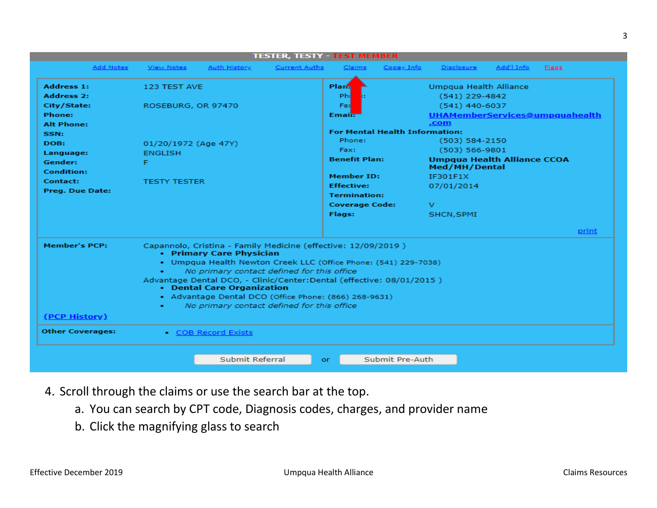| <b>TESTER, TESTY - TEST MEMBER</b> |                      |                                                                                                                                                                                                                                                                                                                                                                                                                          |                      |                       |                                       |                                                     |            |                                |  |  |  |  |  |
|------------------------------------|----------------------|--------------------------------------------------------------------------------------------------------------------------------------------------------------------------------------------------------------------------------------------------------------------------------------------------------------------------------------------------------------------------------------------------------------------------|----------------------|-----------------------|---------------------------------------|-----------------------------------------------------|------------|--------------------------------|--|--|--|--|--|
| Add Notes                          | <b>View Notes</b>    | <b>Auth History</b>                                                                                                                                                                                                                                                                                                                                                                                                      | <b>Current Auths</b> | Claims                | Copay Info                            | Disclosure                                          | Add'l Info | <b>Flags</b>                   |  |  |  |  |  |
| <b>Address 1:</b>                  | 123 TEST AVE         |                                                                                                                                                                                                                                                                                                                                                                                                                          |                      | Plar <sub>n</sub>     |                                       | Umpqua Health Alliance                              |            |                                |  |  |  |  |  |
| <b>Address 2:</b>                  |                      |                                                                                                                                                                                                                                                                                                                                                                                                                          |                      | Ph                    |                                       | $(541)$ 229-4842                                    |            |                                |  |  |  |  |  |
| City/State:                        | ROSEBURG, OR 97470   |                                                                                                                                                                                                                                                                                                                                                                                                                          |                      | Fax                   |                                       | $(541)$ 440-6037                                    |            |                                |  |  |  |  |  |
| Phone:                             |                      |                                                                                                                                                                                                                                                                                                                                                                                                                          |                      | <b>Email:</b>         |                                       |                                                     |            | UHAMemberServices@umpquahealth |  |  |  |  |  |
| <b>Alt Phone:</b>                  |                      |                                                                                                                                                                                                                                                                                                                                                                                                                          |                      |                       |                                       | .com                                                |            |                                |  |  |  |  |  |
| SSN:                               |                      |                                                                                                                                                                                                                                                                                                                                                                                                                          |                      |                       | <b>For Mental Health Information:</b> |                                                     |            |                                |  |  |  |  |  |
| DOB:                               | 01/20/1972 (Age 47Y) |                                                                                                                                                                                                                                                                                                                                                                                                                          |                      | Phone:                |                                       | $(503) 584 - 2150$                                  |            |                                |  |  |  |  |  |
| Language:                          | <b>ENGLISH</b>       |                                                                                                                                                                                                                                                                                                                                                                                                                          |                      | Fax:                  |                                       | $(503) 566 - 9801$                                  |            |                                |  |  |  |  |  |
| Gender:<br>Condition:              | F                    |                                                                                                                                                                                                                                                                                                                                                                                                                          |                      | <b>Benefit Plan:</b>  |                                       | <b>Umpqua Health Alliance CCOA</b><br>Med/MH/Dental |            |                                |  |  |  |  |  |
| Contact:                           |                      |                                                                                                                                                                                                                                                                                                                                                                                                                          |                      | <b>Member ID:</b>     |                                       | IF301F1X                                            |            |                                |  |  |  |  |  |
|                                    | <b>TESTY TESTER</b>  |                                                                                                                                                                                                                                                                                                                                                                                                                          |                      | <b>Effective:</b>     |                                       | 07/01/2014                                          |            |                                |  |  |  |  |  |
| Preg. Due Date:                    |                      |                                                                                                                                                                                                                                                                                                                                                                                                                          |                      | <b>Termination:</b>   |                                       |                                                     |            |                                |  |  |  |  |  |
|                                    |                      |                                                                                                                                                                                                                                                                                                                                                                                                                          |                      | <b>Coverage Code:</b> |                                       | v                                                   |            |                                |  |  |  |  |  |
|                                    |                      |                                                                                                                                                                                                                                                                                                                                                                                                                          |                      | Flags:                |                                       | SHCN, SPMI                                          |            |                                |  |  |  |  |  |
|                                    |                      |                                                                                                                                                                                                                                                                                                                                                                                                                          |                      |                       |                                       |                                                     |            | print                          |  |  |  |  |  |
| <b>Member's PCP:</b>               | ٠                    | Capannolo, Cristina - Family Medicine (effective: 12/09/2019)<br>• Primary Care Physician<br>• Umpqua Health Newton Creek LLC (Office Phone: (541) 229-7038)<br>No primary contact defined for this office<br>Advantage Dental DCO, - Clinic/Center: Dental (effective: 08/01/2015)<br>• Dental Care Organization<br>- Advantage Dental DCO (Office Phone: (866) 268-9631)<br>No primary contact defined for this office |                      |                       |                                       |                                                     |            |                                |  |  |  |  |  |
| (PCP History)                      |                      |                                                                                                                                                                                                                                                                                                                                                                                                                          |                      |                       |                                       |                                                     |            |                                |  |  |  |  |  |
| <b>Other Coverages:</b>            |                      | • COB Record Exists                                                                                                                                                                                                                                                                                                                                                                                                      |                      |                       |                                       |                                                     |            |                                |  |  |  |  |  |
|                                    |                      |                                                                                                                                                                                                                                                                                                                                                                                                                          |                      |                       |                                       |                                                     |            |                                |  |  |  |  |  |
|                                    |                      | Submit Referral                                                                                                                                                                                                                                                                                                                                                                                                          |                      | or                    | Submit Pre-Auth                       |                                                     |            |                                |  |  |  |  |  |

- 4. Scroll through the claims or use the search bar at the top.
	- a. You can search by CPT code, Diagnosis codes, charges, and provider name
	- b. Click the magnifying glass to search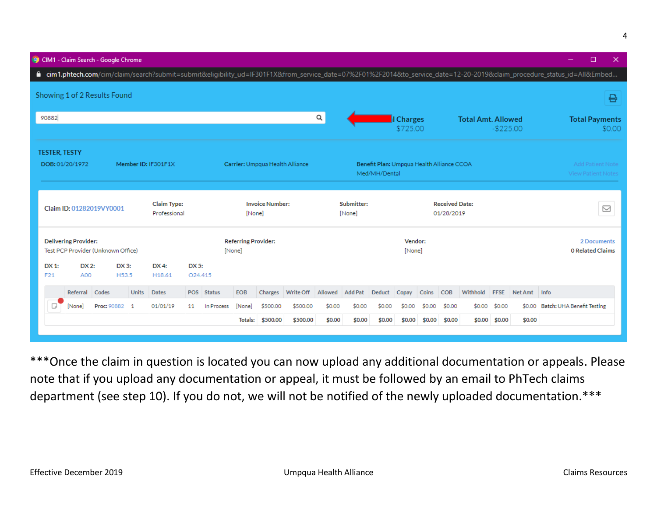|                                        | CIM1 - Claim Search - Google Chrome                            |                                    |       |                 |                                  |                      |                                                                                               |           |                                                             |                |           |                   |        | □<br>×                                        |               |            |                       |                                                                                                                                                                          |
|----------------------------------------|----------------------------------------------------------------|------------------------------------|-------|-----------------|----------------------------------|----------------------|-----------------------------------------------------------------------------------------------|-----------|-------------------------------------------------------------|----------------|-----------|-------------------|--------|-----------------------------------------------|---------------|------------|-----------------------|--------------------------------------------------------------------------------------------------------------------------------------------------------------------------|
|                                        |                                                                |                                    |       |                 |                                  |                      |                                                                                               |           |                                                             |                |           |                   |        |                                               |               |            |                       | ■ cim1.phtech.com/cim/claim/search?submit=submit&eligibility_ud=IF301F1X&from_service_date=07%2F01%2F2014&to_service_date=12-20-2019&claim_procedure_status_id=All&Embed |
| Showing 1 of 2 Results Found           |                                                                |                                    |       |                 |                                  |                      |                                                                                               |           |                                                             |                |           |                   |        |                                               |               |            |                       | ₽                                                                                                                                                                        |
| 90882                                  |                                                                |                                    |       |                 |                                  |                      |                                                                                               | Q         |                                                             |                | I Charges |                   |        | <b>Total Amt. Allowed</b>                     |               |            | <b>Total Payments</b> |                                                                                                                                                                          |
|                                        |                                                                |                                    |       |                 |                                  |                      |                                                                                               |           |                                                             |                |           | \$725.00          |        |                                               |               | $-$225.00$ |                       | \$0.00                                                                                                                                                                   |
| <b>TESTER, TESTY</b>                   |                                                                |                                    |       |                 |                                  |                      |                                                                                               |           |                                                             |                |           |                   |        |                                               |               |            |                       |                                                                                                                                                                          |
| DOB: 01/20/1972<br>Member ID: IF301F1X |                                                                |                                    |       |                 |                                  |                      | Carrier: Umpqua Health Alliance<br>Benefit Plan: Umpqua Health Alliance CCOA<br>Med/MH/Dental |           |                                                             |                |           |                   |        | Add Patient Note<br><b>View Patient Notes</b> |               |            |                       |                                                                                                                                                                          |
|                                        | <b>Claim Type:</b><br>Claim ID: 01282019VY0001<br>Professional |                                    |       |                 | <b>Invoice Number:</b><br>[None] |                      |                                                                                               |           | <b>Received Date:</b><br>Submitter:<br>[None]<br>01/28/2019 |                |           |                   |        |                                               |               | ☑          |                       |                                                                                                                                                                          |
|                                        | <b>Delivering Provider:</b>                                    | Test PCP Provider (Unknown Office) |       |                 |                                  | [None]               | <b>Referring Provider:</b>                                                                    |           |                                                             |                |           | Vendor:<br>[None] |        |                                               |               |            |                       | 2 Documents<br><b>0 Related Claims</b>                                                                                                                                   |
| DX 1:<br>F21                           | DX 2:<br>A00                                                   | DX 3:<br>H53.5                     |       | DX 4:<br>H18.61 | DX 5:<br>O24.415                 |                      |                                                                                               |           |                                                             |                |           |                   |        |                                               |               |            |                       |                                                                                                                                                                          |
|                                        | Referral Codes                                                 |                                    | Units | <b>Dates</b>    | POS Status                       | <b>EOB</b>           | Charges                                                                                       | Write Off | Allowed                                                     | <b>Add Pat</b> | Deduct    | Copay             | Coins  | <b>COB</b>                                    | Withhold FFSE |            | Net Amt Info          |                                                                                                                                                                          |
| D                                      | [None]                                                         | Proc: 90882 1                      |       | 01/01/19        | 11                               | [None]<br>In Process | \$500.00                                                                                      | \$500.00  | \$0.00                                                      | \$0.00         | \$0.00    | \$0.00            | \$0.00 | \$0.00                                        | \$0.00        | \$0.00     |                       | \$0.00 Batch: UHA Benefit Testing                                                                                                                                        |
|                                        |                                                                |                                    |       |                 |                                  | Totals:              | \$500.00                                                                                      | \$500.00  | \$0.00                                                      | \$0.00         | \$0.00    | \$0.00            | \$0.00 | \$0.00                                        | \$0.00        | \$0.00     | \$0.00                |                                                                                                                                                                          |
|                                        |                                                                |                                    |       |                 |                                  |                      |                                                                                               |           |                                                             |                |           |                   |        |                                               |               |            |                       |                                                                                                                                                                          |

\*\*\*Once the claim in question is located you can now upload any additional documentation or appeals. Please note that if you upload any documentation or appeal, it must be followed by an email to PhTech claims department (see step 10). If you do not, we will not be notified of the newly uploaded documentation.\*\*\*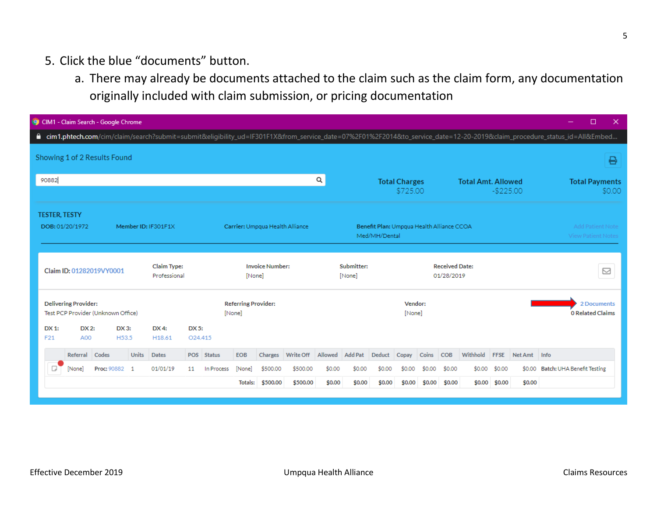## 5. Click the blue "documents" button.

a. There may already be documents attached to the claim such as the claim form, any documentation originally included with claim submission, or pricing documentation

| CIM1 - Claim Search - Google Chrome                                                                                                                                         |                                               |                                                  |                                                     | □<br>$\times$                                        |
|-----------------------------------------------------------------------------------------------------------------------------------------------------------------------------|-----------------------------------------------|--------------------------------------------------|-----------------------------------------------------|------------------------------------------------------|
| cim1.phtech.com/cim/claim/search?submit=submit&eligibility_ud=IF301F1X&from_service_date=07%2F01%2F2014&to_service_date=12-20-2019&claim_procedure_status_id=All&Embed<br>٥ |                                               |                                                  |                                                     |                                                      |
| Showing 1 of 2 Results Found                                                                                                                                                |                                               |                                                  |                                                     | ₽                                                    |
| 90882                                                                                                                                                                       |                                               | Q<br><b>Total Charges</b>                        | <b>Total Amt. Allowed</b><br>$-$225.00$<br>\$725.00 | <b>Total Payments</b><br>\$0.00                      |
| <b>TESTER, TESTY</b><br>Member ID: IF301F1X<br>DOB: 01/20/1972                                                                                                              | Carrier: Umpqua Health Alliance               | Med/MH/Dental                                    | Benefit Plan: Umpqua Health Alliance CCOA           | <b>Add Patient Note</b><br><b>View Patient Notes</b> |
| <b>Claim Type:</b><br>Claim ID: 01282019VY0001<br>Professional                                                                                                              | <b>Invoice Number:</b><br>[None]              | Submitter:<br>[None]                             | <b>Received Date:</b><br>01/28/2019                 | ☑                                                    |
| <b>Delivering Provider:</b><br>Test PCP Provider (Unknown Office)<br>DX2:<br>DX 3:<br>DX 1:<br>DX 4:                                                                        | <b>Referring Provider:</b><br>[None]<br>DX 5: |                                                  | Vendor:<br>[None]                                   | 2 Documents<br><b>0 Related Claims</b>               |
| A00<br>H53.5<br>F21<br>H18.61                                                                                                                                               | O24.415                                       |                                                  |                                                     |                                                      |
| Referral<br><b>Units</b><br>Codes<br><b>Dates</b>                                                                                                                           | EOB<br>Charges<br>Write Off<br>POS Status     | <b>Add Pat</b><br>Allowed<br>Deduct<br>Copay     | Coins<br>Withhold<br><b>COB</b><br><b>FFSE</b>      | Net Amt<br>Info                                      |
| 01/01/19<br>D<br>Proc: 90882<br>[None]<br>$\overline{1}$                                                                                                                    | \$500.00<br>11<br>In Process<br>[None]        | \$500.00<br>\$0.00<br>\$0.00<br>\$0.00<br>\$0.00 | \$0.00<br>\$0.00<br>\$0.00<br>\$0.00                | Batch: UHA Benefit Testing<br>\$0.00                 |
|                                                                                                                                                                             | \$500.00<br>Totals:                           | \$500.00<br>\$0.00<br>\$0.00<br>\$0.00           | \$0.00<br>\$0.00<br>\$0.00<br>\$0.00<br>\$0.00      | \$0.00                                               |
|                                                                                                                                                                             |                                               |                                                  |                                                     |                                                      |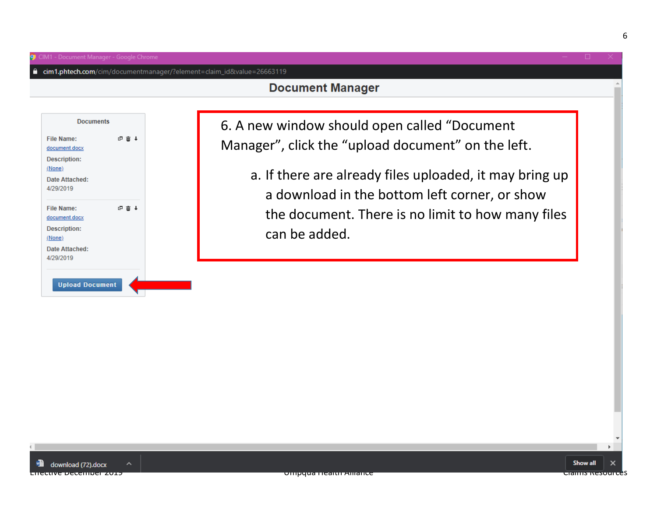**Documents** 

**File Name:** document.docx **Description:** (None)

**Date Attached:** 4/29/2019

**File Name:** document.docx **Description:** (None) Date Attached: 4/29/2019

中面中

□ 亩 ↓

A

cim1.phtech.com/cim/documentmanager/?element=claim\_id&value=26663119

6. A new window should open called "Document Manager", click the "upload document" on the left.

a. If there are already files uploaded, it may bring up a download in the bottom left corner, or show the document. There is no limit to how many files can be added.

**Upload Document**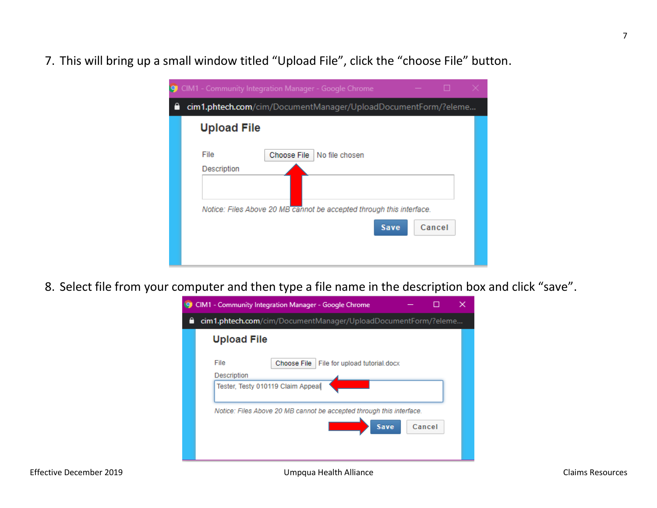7. This will bring up a small window titled "Upload File", click the "choose File" button.

| О | CIM1 - Community Integration Manager - Google Chrome                                                                                                 |
|---|------------------------------------------------------------------------------------------------------------------------------------------------------|
|   | cim1.phtech.com/cim/DocumentManager/UploadDocumentForm/?eleme                                                                                        |
|   | <b>Upload File</b>                                                                                                                                   |
|   | File<br>Choose File   No file chosen<br>Description<br>Notice: Files Above 20 MB cannot be accepted through this interface.<br>Cancel<br><b>Save</b> |

8. Select file from your computer and then type a file name in the description box and click "save".

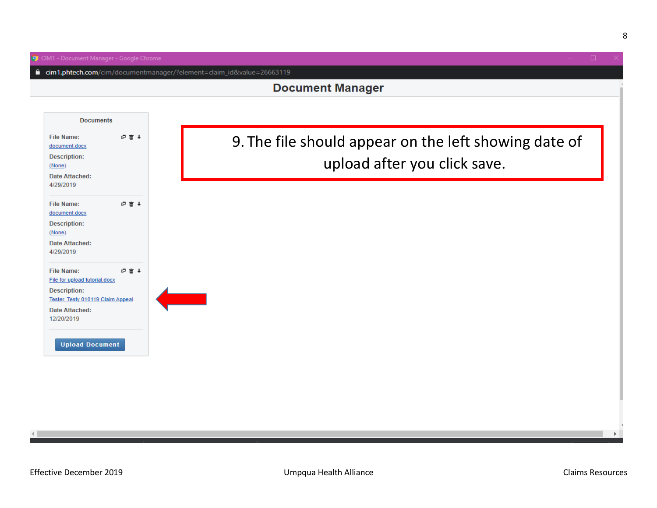■ cim1.phtech.com/cim/documentmanager/?element=claim\_id&value=26663119

#### **Document Manager**



 $\mathbf{p}$ 

8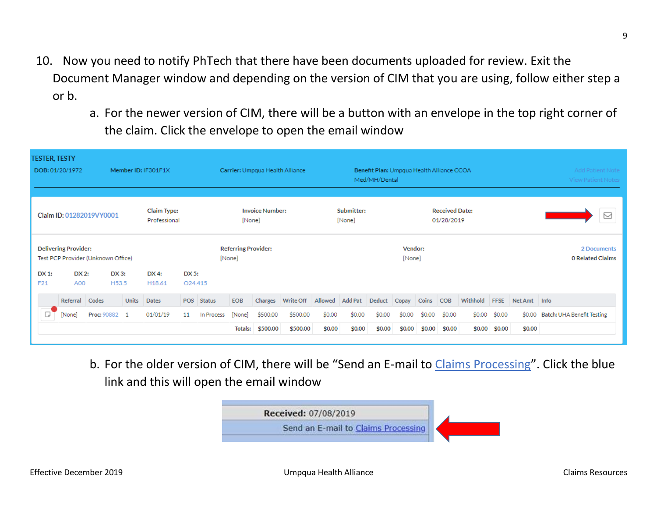- 10. Now you need to notify PhTech that there have been documents uploaded for review. Exit the Document Manager window and depending on the version of CIM that you are using, follow either step a or b.
	- a. For the newer version of CIM, there will be a button with an envelope in the top right corner of the claim. Click the envelope to open the email window

| <b>TESTER, TESTY</b><br>DOB: 01/20/1972<br>Member ID: IF301F1X    |                                                                        |               |       |          |    | Carrier: Umpqua Health Alliance<br>Benefit Plan: Umpqua Health Alliance CCOA<br>Med/MH/Dental |            |          |           |                                                             |                |        |        | <b>Add Patient Note</b><br><b>View Patient Notes</b> |            |                                        |                          |              |                            |  |
|-------------------------------------------------------------------|------------------------------------------------------------------------|---------------|-------|----------|----|-----------------------------------------------------------------------------------------------|------------|----------|-----------|-------------------------------------------------------------|----------------|--------|--------|------------------------------------------------------|------------|----------------------------------------|--------------------------|--------------|----------------------------|--|
| Claim Type:<br>Claim ID: 01282019VY0001<br>Professional           |                                                                        |               |       |          |    | <b>Invoice Number:</b><br>[None]                                                              |            |          |           | Submitter:<br><b>Received Date:</b><br>[None]<br>01/28/2019 |                |        |        |                                                      |            |                                        | $\quad \  \  \, \boxdot$ |              |                            |  |
| <b>Delivering Provider:</b><br>Test PCP Provider (Unknown Office) |                                                                        |               |       |          |    | <b>Referring Provider:</b><br>[None]                                                          |            |          |           | Vendor:<br>[None]                                           |                |        |        |                                                      |            | 2 Documents<br><b>0 Related Claims</b> |                          |              |                            |  |
| DX 1:<br>F21                                                      | DX 2:<br>DX 3:<br>DX 4:<br>DX 5:<br>A00<br>H53.5<br>H <sub>18.61</sub> |               |       |          |    | O24.415                                                                                       |            |          |           |                                                             |                |        |        |                                                      |            |                                        |                          |              |                            |  |
|                                                                   | Referral Codes                                                         |               | Units | Dates    |    | POS Status                                                                                    | <b>EOB</b> | Charges  | Write Off | Allowed                                                     | <b>Add Pat</b> | Deduct | Copay  | Coins                                                | <b>COB</b> | Withhold                               | <b>FFSE</b>              | Net Amt Info |                            |  |
| D                                                                 | [None]                                                                 | Proc: 90882 1 |       | 01/01/19 | 11 | In Process                                                                                    | [None]     | \$500.00 | \$500.00  | \$0.00                                                      | \$0.00         | \$0.00 | \$0.00 | \$0.00                                               | \$0.00     | \$0.00                                 | \$0.00                   | \$0.00       | Batch: UHA Benefit Testing |  |
|                                                                   |                                                                        |               |       |          |    |                                                                                               | Totals:    | \$500.00 | \$500.00  | \$0.00                                                      | \$0.00         | \$0.00 | \$0.00 | \$0.00                                               | \$0.00     |                                        | $$0.00$ \$0.00           | \$0.00       |                            |  |

b. For the older version of CIM, there will be "Send an E-mail to Claims Processing". Click the blue link and this will open the email window

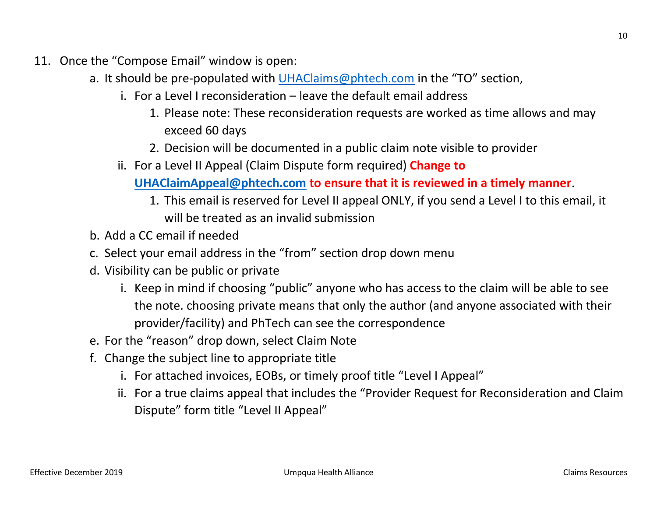- 11. Once the "Compose Email" window is open:
	- a. It should be pre-populated with [UHAClaims@phtech.com](mailto:UHAClaims@phtech.com) in the "TO" section,
		- i. For a Level I reconsideration leave the default email address
			- 1. Please note: These reconsideration requests are worked as time allows and may exceed 60 days
			- 2. Decision will be documented in a public claim note visible to provider
		- ii. For a Level II Appeal (Claim Dispute form required) **Change to**

**[UHAClaimAppeal@phtech.com](mailto:UHAClaimAppeal@phtech.com) to ensure that it is reviewed in a timely manner**.

- 1. This email is reserved for Level II appeal ONLY, if you send a Level I to this email, it will be treated as an invalid submission
- b. Add a CC email if needed
- c. Select your email address in the "from" section drop down menu
- d. Visibility can be public or private
	- i. Keep in mind if choosing "public" anyone who has access to the claim will be able to see the note. choosing private means that only the author (and anyone associated with their provider/facility) and PhTech can see the correspondence
- e. For the "reason" drop down, select Claim Note
- f. Change the subject line to appropriate title
	- i. For attached invoices, EOBs, or timely proof title "Level I Appeal"
	- ii. For a true claims appeal that includes the "Provider Request for Reconsideration and Claim Dispute" form title "Level II Appeal"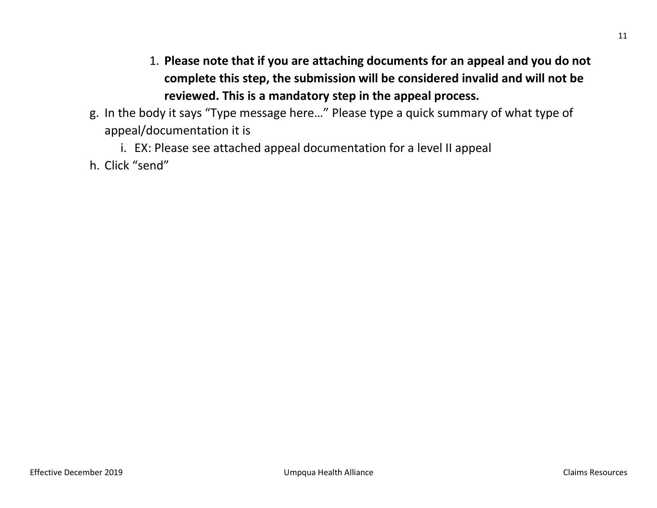- 1. **Please note that if you are attaching documents for an appeal and you do not complete this step, the submission will be considered invalid and will not be reviewed. This is a mandatory step in the appeal process.**
- g. In the body it says "Type message here…" Please type a quick summary of what type of appeal/documentation it is
	- i. EX: Please see attached appeal documentation for a level II appeal
- h. Click "send"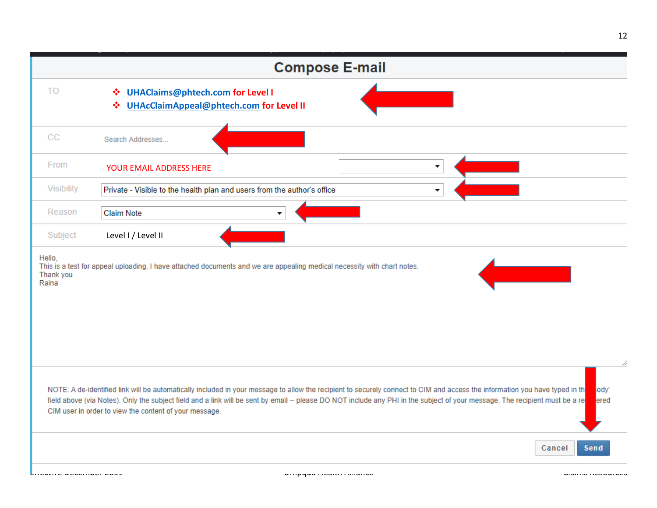|            | <b>Compose E-mail</b>                                                                                                                                                                                                                                                                                                                                                                                                                  |
|------------|----------------------------------------------------------------------------------------------------------------------------------------------------------------------------------------------------------------------------------------------------------------------------------------------------------------------------------------------------------------------------------------------------------------------------------------|
| TO         | <b>UHAClaims@phtech.com for Level I</b><br><b>AND</b><br><b>UHAcClaimAppeal@phtech.com for Level II</b><br>-36                                                                                                                                                                                                                                                                                                                         |
| CС         | Search Addresses                                                                                                                                                                                                                                                                                                                                                                                                                       |
| From       | ۰<br><b>YOUR EMAIL ADDRESS HERE</b>                                                                                                                                                                                                                                                                                                                                                                                                    |
| Visibility | Private - Visible to the health plan and users from the author's office<br>۰                                                                                                                                                                                                                                                                                                                                                           |
| Reason     | <b>Claim Note</b>                                                                                                                                                                                                                                                                                                                                                                                                                      |
| Subject    | Level I / Level II                                                                                                                                                                                                                                                                                                                                                                                                                     |
|            |                                                                                                                                                                                                                                                                                                                                                                                                                                        |
|            | NOTE: A de-identified link will be automatically included in your message to allow the recipient to securely connect to CIM and access the information you have typed in th<br>lody'<br>field above (via Notes). Only the subject field and a link will be sent by email -- please DO NOT include any PHI in the subject of your message. The recipient must be a re<br>ered<br>CIM user in order to view the content of your message. |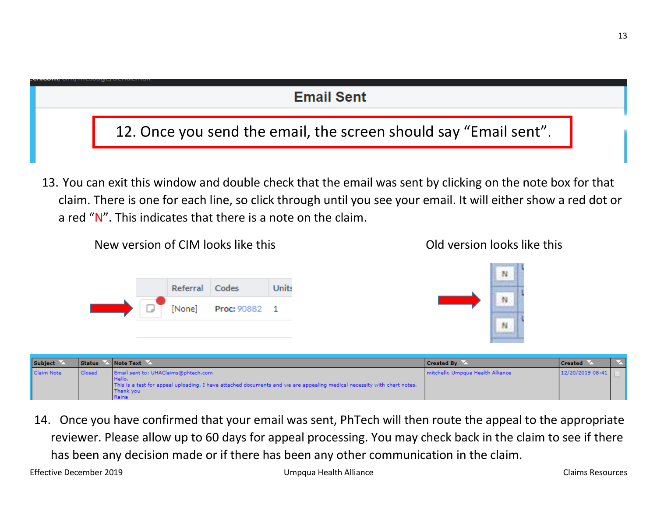

| Subject <sup>1</sup> |               | Status Mote Text                                                                                                                                                                                 | <b>Created By</b>                 | <b>Created</b>   |  |
|----------------------|---------------|--------------------------------------------------------------------------------------------------------------------------------------------------------------------------------------------------|-----------------------------------|------------------|--|
| Claim Note           | <b>Closed</b> | Email sent to: UHAClaims@phtech.com<br>l Hello.<br>This is a test for appeal uploading. I have attached documents and we are appealing medical necessity with chart notes.<br>Thank you<br>Raina | mitchellr, Umpqua Health Alliance | 12/20/2019 08:41 |  |

14. Once you have confirmed that your email was sent, PhTech will then route the appeal to the appropriate reviewer. Please allow up to 60 days for appeal processing. You may check back in the claim to see if there has been any decision made or if there has been any other communication in the claim.

13